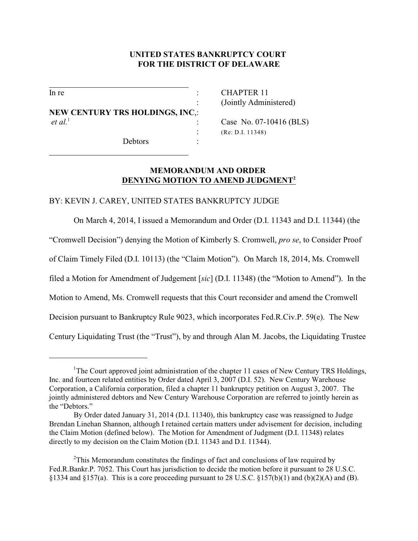## **UNITED STATES BANKRUPTCY COURT FOR THE DISTRICT OF DELAWARE**

 $\overline{a}$ 

 $\overline{a}$ 

**NEW CENTURY TRS HOLDINGS, INC**,: *et al.*<sup>1</sup> : Case No. 07-10416 (BLS)

Debtors :

In re : CHAPTER 11 : (Jointly Administered)

: (Re: D.I. 11348)

# **MEMORANDUM AND ORDER DENYING MOTION TO AMEND JUDGMENT<sup>2</sup>**

### BY: KEVIN J. CAREY, UNITED STATES BANKRUPTCY JUDGE

On March 4, 2014, I issued a Memorandum and Order (D.I. 11343 and D.I. 11344) (the

"Cromwell Decision") denying the Motion of Kimberly S. Cromwell, *pro se*, to Consider Proof

of Claim Timely Filed (D.I. 10113) (the "Claim Motion"). On March 18, 2014, Ms. Cromwell

filed a Motion for Amendment of Judgement [*sic*] (D.I. 11348) (the "Motion to Amend"). In the

Motion to Amend, Ms. Cromwell requests that this Court reconsider and amend the Cromwell

Decision pursuant to Bankruptcy Rule 9023, which incorporates Fed.R.Civ.P. 59(e). The New

Century Liquidating Trust (the "Trust"), by and through Alan M. Jacobs, the Liquidating Trustee

<sup>&</sup>lt;sup>1</sup>The Court approved joint administration of the chapter 11 cases of New Century TRS Holdings, Inc. and fourteen related entities by Order dated April 3, 2007 (D.I. 52). New Century Warehouse Corporation, a California corporation, filed a chapter 11 bankruptcy petition on August 3, 2007. The jointly administered debtors and New Century Warehouse Corporation are referred to jointly herein as the "Debtors."

By Order dated January 31, 2014 (D.I. 11340), this bankruptcy case was reassigned to Judge Brendan Linehan Shannon, although I retained certain matters under advisement for decision, including the Claim Motion (defined below). The Motion for Amendment of Judgment (D.I. 11348) relates directly to my decision on the Claim Motion (D.I. 11343 and D.I. 11344).

<sup>&</sup>lt;sup>2</sup>This Memorandum constitutes the findings of fact and conclusions of law required by Fed.R.Bankr.P. 7052. This Court has jurisdiction to decide the motion before it pursuant to 28 U.S.C. §1334 and §157(a). This is a core proceeding pursuant to 28 U.S.C. §157(b)(1) and (b)(2)(A) and (B).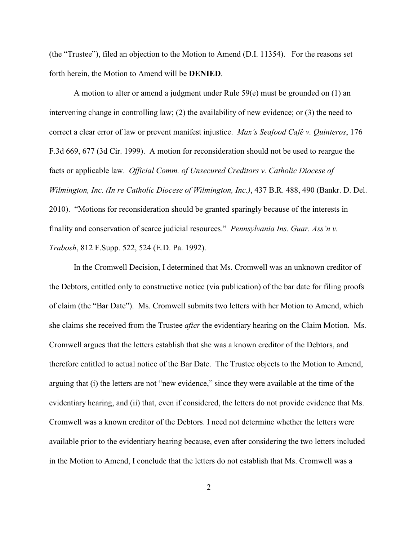(the "Trustee"), filed an objection to the Motion to Amend (D.I. 11354). For the reasons set forth herein, the Motion to Amend will be **DENIED**.

A motion to alter or amend a judgment under Rule 59(e) must be grounded on (1) an intervening change in controlling law; (2) the availability of new evidence; or (3) the need to correct a clear error of law or prevent manifest injustice. *Max's Seafood Café v. Quinteros*, 176 F.3d 669, 677 (3d Cir. 1999). A motion for reconsideration should not be used to reargue the facts or applicable law. *Official Comm. of Unsecured Creditors v. Catholic Diocese of Wilmington, Inc. (In re Catholic Diocese of Wilmington, Inc.)*, 437 B.R. 488, 490 (Bankr. D. Del. 2010). "Motions for reconsideration should be granted sparingly because of the interests in finality and conservation of scarce judicial resources." *Pennsylvania Ins. Guar. Ass'n v. Trabosh*, 812 F.Supp. 522, 524 (E.D. Pa. 1992).

In the Cromwell Decision, I determined that Ms. Cromwell was an unknown creditor of the Debtors, entitled only to constructive notice (via publication) of the bar date for filing proofs of claim (the "Bar Date"). Ms. Cromwell submits two letters with her Motion to Amend, which she claims she received from the Trustee *after* the evidentiary hearing on the Claim Motion. Ms. Cromwell argues that the letters establish that she was a known creditor of the Debtors, and therefore entitled to actual notice of the Bar Date. The Trustee objects to the Motion to Amend, arguing that (i) the letters are not "new evidence," since they were available at the time of the evidentiary hearing, and (ii) that, even if considered, the letters do not provide evidence that Ms. Cromwell was a known creditor of the Debtors. I need not determine whether the letters were available prior to the evidentiary hearing because, even after considering the two letters included in the Motion to Amend, I conclude that the letters do not establish that Ms. Cromwell was a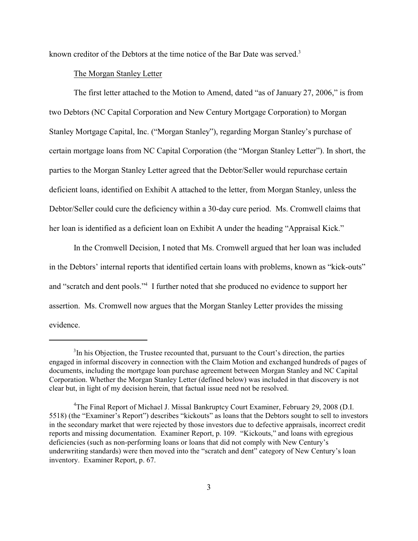known creditor of the Debtors at the time notice of the Bar Date was served.<sup>3</sup>

#### The Morgan Stanley Letter

The first letter attached to the Motion to Amend, dated "as of January 27, 2006," is from two Debtors (NC Capital Corporation and New Century Mortgage Corporation) to Morgan Stanley Mortgage Capital, Inc. ("Morgan Stanley"), regarding Morgan Stanley's purchase of certain mortgage loans from NC Capital Corporation (the "Morgan Stanley Letter"). In short, the parties to the Morgan Stanley Letter agreed that the Debtor/Seller would repurchase certain deficient loans, identified on Exhibit A attached to the letter, from Morgan Stanley, unless the Debtor/Seller could cure the deficiency within a 30-day cure period. Ms. Cromwell claims that her loan is identified as a deficient loan on Exhibit A under the heading "Appraisal Kick."

In the Cromwell Decision, I noted that Ms. Cromwell argued that her loan was included in the Debtors' internal reports that identified certain loans with problems, known as "kick-outs" and "scratch and dent pools."<sup>4</sup> I further noted that she produced no evidence to support her assertion. Ms. Cromwell now argues that the Morgan Stanley Letter provides the missing evidence.

 $3$ In his Objection, the Trustee recounted that, pursuant to the Court's direction, the parties engaged in informal discovery in connection with the Claim Motion and exchanged hundreds of pages of documents, including the mortgage loan purchase agreement between Morgan Stanley and NC Capital Corporation. Whether the Morgan Stanley Letter (defined below) was included in that discovery is not clear but, in light of my decision herein, that factual issue need not be resolved.

<sup>&</sup>lt;sup>4</sup>The Final Report of Michael J. Missal Bankruptcy Court Examiner, February 29, 2008 (D.I. 5518) (the "Examiner's Report") describes "kickouts" as loans that the Debtors sought to sell to investors in the secondary market that were rejected by those investors due to defective appraisals, incorrect credit reports and missing documentation. Examiner Report, p. 109. "Kickouts," and loans with egregious deficiencies (such as non-performing loans or loans that did not comply with New Century's underwriting standards) were then moved into the "scratch and dent" category of New Century's loan inventory. Examiner Report, p. 67.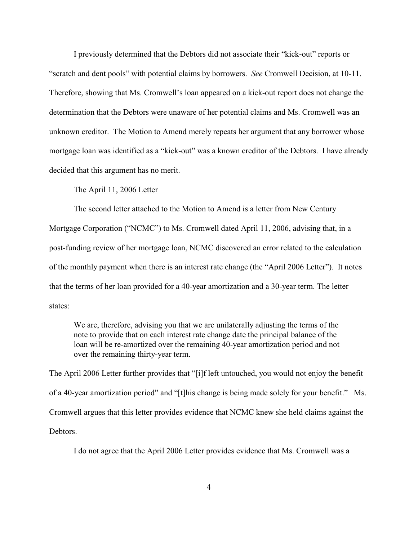I previously determined that the Debtors did not associate their "kick-out" reports or "scratch and dent pools" with potential claims by borrowers. *See* Cromwell Decision, at 10-11. Therefore, showing that Ms. Cromwell's loan appeared on a kick-out report does not change the determination that the Debtors were unaware of her potential claims and Ms. Cromwell was an unknown creditor. The Motion to Amend merely repeats her argument that any borrower whose mortgage loan was identified as a "kick-out" was a known creditor of the Debtors. I have already decided that this argument has no merit.

### The April 11, 2006 Letter

The second letter attached to the Motion to Amend is a letter from New Century Mortgage Corporation ("NCMC") to Ms. Cromwell dated April 11, 2006, advising that, in a post-funding review of her mortgage loan, NCMC discovered an error related to the calculation of the monthly payment when there is an interest rate change (the "April 2006 Letter"). It notes that the terms of her loan provided for a 40-year amortization and a 30-year term. The letter states:

We are, therefore, advising you that we are unilaterally adjusting the terms of the note to provide that on each interest rate change date the principal balance of the loan will be re-amortized over the remaining 40-year amortization period and not over the remaining thirty-year term.

The April 2006 Letter further provides that "[i]f left untouched, you would not enjoy the benefit of a 40-year amortization period" and "[t]his change is being made solely for your benefit." Ms. Cromwell argues that this letter provides evidence that NCMC knew she held claims against the **Debtors** 

I do not agree that the April 2006 Letter provides evidence that Ms. Cromwell was a